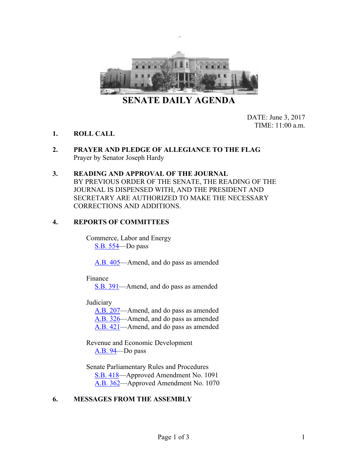

**SENATE DAILY AGENDA**

DATE: June 3, 2017 TIME: 11:00 a.m.

- **1. ROLL CALL**
- **2. PRAYER AND PLEDGE OF ALLEGIANCE TO THE FLAG** Prayer by Senator Joseph Hardy
- **3. READING AND APPROVAL OF THE JOURNAL** BY PREVIOUS ORDER OF THE SENATE, THE READING OF THE JOURNAL IS DISPENSED WITH, AND THE PRESIDENT AND SECRETARY ARE AUTHORIZED TO MAKE THE NECESSARY CORRECTIONS AND ADDITIONS.

#### **4. REPORTS OF COMMITTEES**

Commerce, Labor and Energy [S.B.](https://www.leg.state.nv.us/App/NELIS/REL/79th2017/Bill/5853/Overview/) 554—Do pass

[A.B.](https://www.leg.state.nv.us/App/NELIS/REL/79th2017/Bill/5487/Overview/) 405—Amend, and do pass as amended

Finance

[S.B.](https://www.leg.state.nv.us/App/NELIS/REL/79th2017/Bill/5449/Overview/) 391—Amend, and do pass as amended

**Judiciary** 

[A.B.](https://www.leg.state.nv.us/App/NELIS/REL/79th2017/Bill/5006/Overview/) 207—Amend, and do pass as amended [A.B.](https://www.leg.state.nv.us/App/NELIS/REL/79th2017/Bill/5313/Overview/) 326—Amend, and do pass as amended [A.B.](https://www.leg.state.nv.us/App/NELIS/REL/79th2017/Bill/5539/Overview/) 421—Amend, and do pass as amended

Revenue and Economic Development [A.B.](https://www.leg.state.nv.us/App/NELIS/REL/79th2017/Bill/4806/Overview/) 94—Do pass

Senate Parliamentary Rules and Procedures [S.B.](https://www.leg.state.nv.us/App/NELIS/REL/79th2017/Bill/5492/Overview/) 418—Approved Amendment No. 1091 [A.B.](https://www.leg.state.nv.us/App/NELIS/REL/79th2017/Bill/5373/Overview/) 362—Approved Amendment No. 1070

# **6. MESSAGES FROM THE ASSEMBLY**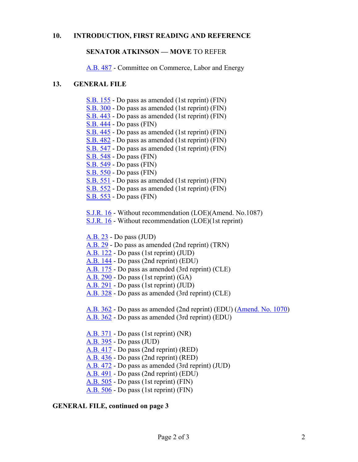#### **10. INTRODUCTION, FIRST READING AND REFERENCE**

#### **SENATOR ATKINSON — MOVE** TO REFER

[A.B.](https://www.leg.state.nv.us/App/NELIS/REL/79th2017/Bill/5755/Overview/) 487 - Committee on Commerce, Labor and Energy

#### **13. GENERAL FILE**

- [S.B.](https://www.leg.state.nv.us/App/NELIS/REL/79th2017/Bill/4991/Overview/) 155 Do pass as amended (1st reprint) (FIN)
- [S.B.](https://www.leg.state.nv.us/App/NELIS/REL/79th2017/Bill/5272/Overview/) 300 Do pass as amended (1st reprint) (FIN)
- [S.B.](https://www.leg.state.nv.us/App/NELIS/REL/79th2017/Bill/5551/Overview/) 443 Do pass as amended (1st reprint) (FIN)
- [S.B.](https://www.leg.state.nv.us/App/NELIS/REL/79th2017/Bill/5552/Overview/) 444 Do pass (FIN)
- [S.B.](https://www.leg.state.nv.us/App/NELIS/REL/79th2017/Bill/5553/Overview/) 445 Do pass as amended (1st reprint) (FIN)
- [S.B.](https://www.leg.state.nv.us/App/NELIS/REL/79th2017/Bill/5682/Overview/) 482 Do pass as amended (1st reprint) (FIN)
- [S.B.](https://www.leg.state.nv.us/App/NELIS/REL/79th2017/Bill/5840/Overview/) 547 Do pass as amended (1st reprint) (FIN)
- [S.B.](https://www.leg.state.nv.us/App/NELIS/REL/79th2017/Bill/5842/Overview/) 548 Do pass (FIN)
- [S.B.](https://www.leg.state.nv.us/App/NELIS/REL/79th2017/Bill/5843/Overview/) 549 Do pass (FIN)
- [S.B.](https://www.leg.state.nv.us/App/NELIS/REL/79th2017/Bill/5844/Overview/) 550 Do pass (FIN)
- [S.B.](https://www.leg.state.nv.us/App/NELIS/REL/79th2017/Bill/5846/Overview/) 551 Do pass as amended (1st reprint) (FIN)
- [S.B.](https://www.leg.state.nv.us/App/NELIS/REL/79th2017/Bill/5847/Overview/) 552 Do pass as amended (1st reprint) (FIN)
- [S.B.](https://www.leg.state.nv.us/App/NELIS/REL/79th2017/Bill/5848/Overview/) 553 Do pass (FIN)

[S.J.R.](https://www.leg.state.nv.us/App/NELIS/REL/79th2017/Bill/5831/Overview/) 16 - Without recommendation (LOE)(Amend. No.1087)

[S.J.R.](https://www.leg.state.nv.us/App/NELIS/REL/79th2017/Bill/5831/Overview/) 16 - Without recommendation (LOE)(1st reprint)

[A.B.](https://www.leg.state.nv.us/App/NELIS/REL/79th2017/Bill/4650/Overview/) 23 - Do pass (JUD)

- [A.B.](https://www.leg.state.nv.us/App/NELIS/REL/79th2017/Bill/4670/Overview/) 29 Do pass as amended (2nd reprint) (TRN)
- [A.B.](https://www.leg.state.nv.us/App/NELIS/REL/79th2017/Bill/4860/Overview/) 122 Do pass (1st reprint) (JUD)
- [A.B.](https://www.leg.state.nv.us/App/NELIS/REL/79th2017/Bill/4891/Overview/) 144 Do pass (2nd reprint) (EDU)
- [A.B.](https://www.leg.state.nv.us/App/NELIS/REL/79th2017/Bill/4939/Overview/) 175 Do pass as amended (3rd reprint) (CLE)
- [A.B.](https://www.leg.state.nv.us/App/NELIS/REL/79th2017/Bill/5209/Overview/) 290 Do pass (1st reprint) (GA)
- [A.B.](https://www.leg.state.nv.us/App/NELIS/REL/79th2017/Bill/5210/Overview/) 291 Do pass (1st reprint) (JUD)
- [A.B.](https://www.leg.state.nv.us/App/NELIS/REL/79th2017/Bill/5315/Overview/) 328 Do pass as amended (3rd reprint) (CLE)

[A.B.](https://www.leg.state.nv.us/App/NELIS/REL/79th2017/Bill/5373/Overview/) 362 - Do pass as amended (2nd reprint) (EDU) [\(Amend. No. 1070\)](http://www.leg.state.nv.us/Session/79th2017/Bills/Amendments/A_AB362_R1_1070.PDF)

- [A.B.](https://www.leg.state.nv.us/App/NELIS/REL/79th2017/Bill/5373/Overview/) 362 Do pass as amended (3rd reprint) (EDU)
- [A.B.](https://www.leg.state.nv.us/App/NELIS/REL/79th2017/Bill/5389/Overview/) 371 Do pass (1st reprint) (NR)
- [A.B.](https://www.leg.state.nv.us/App/NELIS/REL/79th2017/Bill/5454/Overview/) 395 Do pass (JUD)
- [A.B.](https://www.leg.state.nv.us/App/NELIS/REL/79th2017/Bill/5564/Overview/) 417 Do pass (2nd reprint) (RED)
- [A.B.](https://www.leg.state.nv.us/App/NELIS/REL/79th2017/Bill/5581/Overview/) 436 Do pass (2nd reprint) (RED)

[A.B.](https://www.leg.state.nv.us/App/NELIS/REL/79th2017/Bill/5731/Overview/) 472 - Do pass as amended (3rd reprint) (JUD)

- [A.B.](https://www.leg.state.nv.us/App/NELIS/REL/79th2017/Bill/5770/Overview/) 491 Do pass (2nd reprint) (EDU)
- [A.B.](https://www.leg.state.nv.us/App/NELIS/REL/79th2017/Bill/5807/Overview/) 505 Do pass (1st reprint) (FIN)
- [A.B.](https://www.leg.state.nv.us/App/NELIS/REL/79th2017/Bill/5808/Overview/) 506 Do pass (1st reprint) (FIN)

# **GENERAL FILE, continued on page 3**